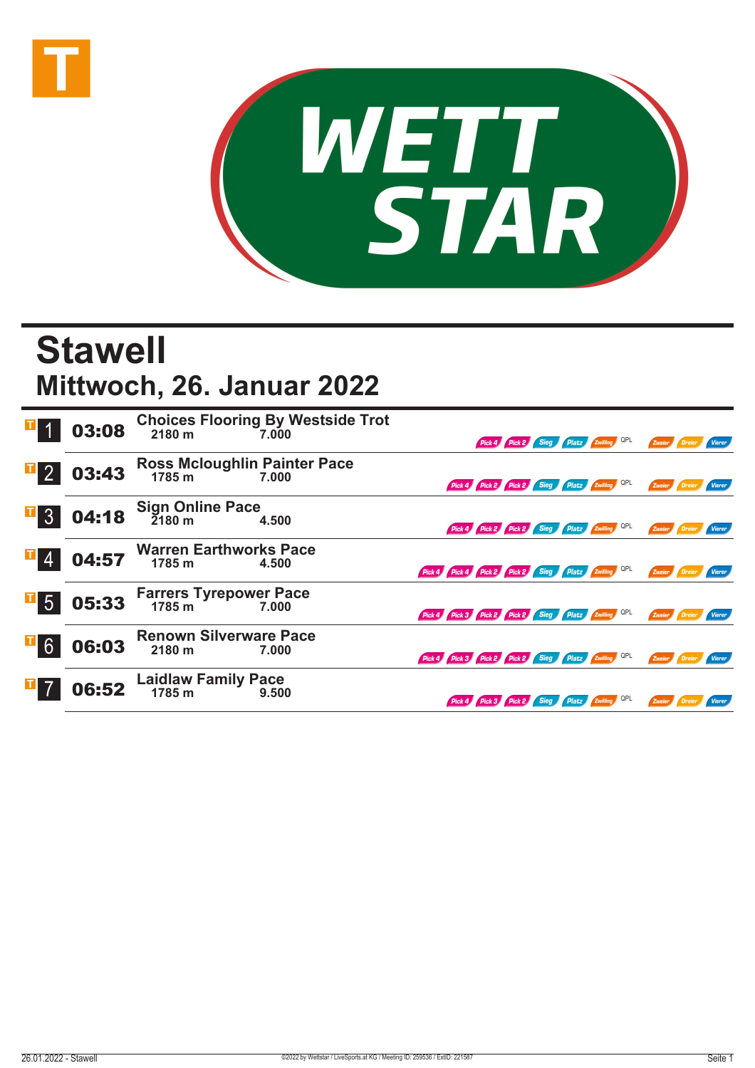



## **Stawell Mittwoch, 26. Januar 2022**

|                  | 03:08 | Choices Flooring By Westside Trot<br>2180 m 7.000  |       |                                                     |                                              |  | Pick 4 Pick 2 Sieg Platz Zwilling QPL | Zweier        |        |
|------------------|-------|----------------------------------------------------|-------|-----------------------------------------------------|----------------------------------------------|--|---------------------------------------|---------------|--------|
|                  | 03:43 | Ross Mcloughlin Painter Pace<br>1785 m 1785 m 1780 |       |                                                     | Pick 4 Pick 2 Pick 2 Sieg Platz Zwilling QPL |  |                                       | Zweier        |        |
| $\overline{1}$ 3 | 04:18 | Sign Online Pace<br>2180 m                         | 4.500 |                                                     | Pick 4 Pick 2 Pick 2 Sieg Platz Zwilling QPL |  |                                       | Zweier        | Vierer |
|                  | 04:57 | <b>Warren Earthworks Pace</b><br>1785 m            | 4.500 | Pick 4 Pick 4 Pick 2 Pick 2 Sieg Platz Zwilling OPL |                                              |  |                                       | Zweier Dreier | Vierer |
| $\overline{1}$ 5 | 05:33 | Farrers Tyrepower Pace<br>1785 m 1785 7.000        |       | Pick 4 Pick 3 Pick 2 Pick 2 Sieg Platz Zwilling QPL |                                              |  |                                       | Zweier        |        |
| $\overline{1}$ 6 | 06:03 | <b>Renown Silverware Pace</b><br>2180 m            | 7.000 | Pick 4 Pick 3 Pick 2 Pick 2 Sieg Platz Zwilling QPL |                                              |  |                                       | Zweier        |        |
|                  | 06:52 | Laidlaw Family Pace<br>1785 m 9.500                |       |                                                     | Pick 4 Pick 3 Pick 2 Sieg Platz Zwilling QPL |  |                                       | Zweier Dreier | Vierer |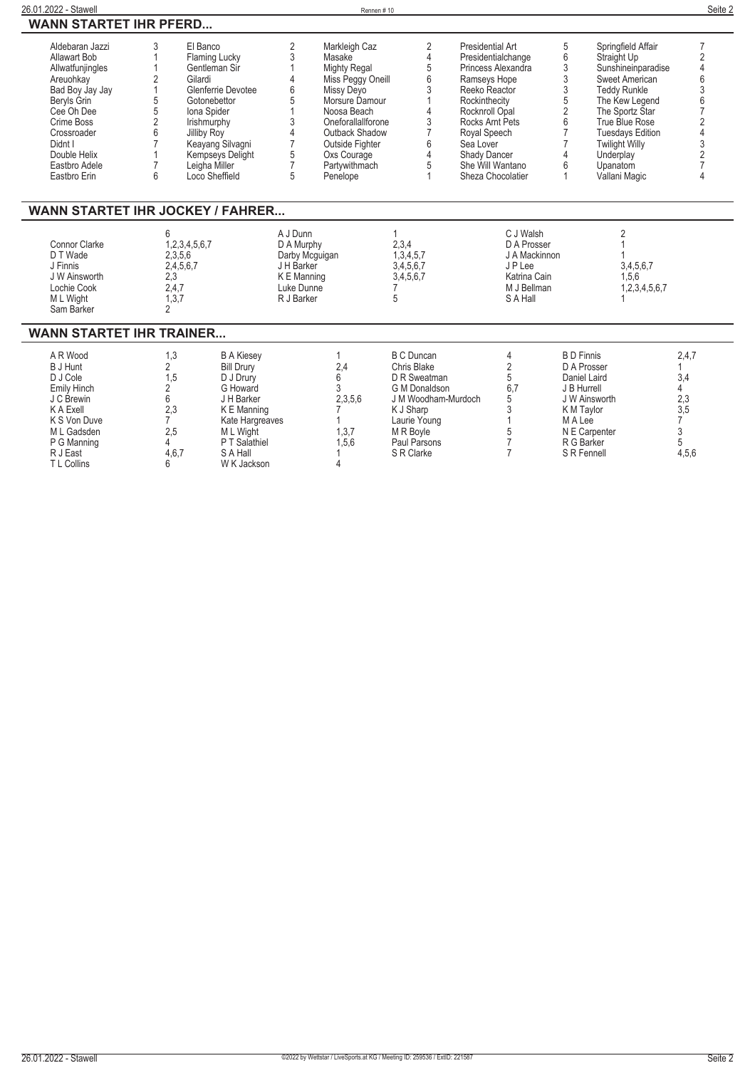| 26.01.2022 - Stawell                                                                                                                                                                                      |                                                                                               |                                                                                                                                                                                                                                   |                                                                                                                | Rennen#10                                                                                                                                                                                                                 |                                                                                                                                                                         |                                                                                                                                                                                                                                                  |                                                                                                                                                        |                                                                                                                                                                                                                                                       | Seite 2                                                                                |
|-----------------------------------------------------------------------------------------------------------------------------------------------------------------------------------------------------------|-----------------------------------------------------------------------------------------------|-----------------------------------------------------------------------------------------------------------------------------------------------------------------------------------------------------------------------------------|----------------------------------------------------------------------------------------------------------------|---------------------------------------------------------------------------------------------------------------------------------------------------------------------------------------------------------------------------|-------------------------------------------------------------------------------------------------------------------------------------------------------------------------|--------------------------------------------------------------------------------------------------------------------------------------------------------------------------------------------------------------------------------------------------|--------------------------------------------------------------------------------------------------------------------------------------------------------|-------------------------------------------------------------------------------------------------------------------------------------------------------------------------------------------------------------------------------------------------------|----------------------------------------------------------------------------------------|
| <b>WANN STARTET IHR PFERD</b>                                                                                                                                                                             |                                                                                               |                                                                                                                                                                                                                                   |                                                                                                                |                                                                                                                                                                                                                           |                                                                                                                                                                         |                                                                                                                                                                                                                                                  |                                                                                                                                                        |                                                                                                                                                                                                                                                       |                                                                                        |
| Aldebaran Jazzi<br>Allawart Bob<br>Allwatfunjingles<br>Areuohkay<br>Bad Boy Jay Jay<br>Beryls Grin<br>Cee Oh Dee<br>Crime Boss<br>Crossroader<br>Didnt I<br>Double Helix<br>Eastbro Adele<br>Eastbro Erin | 3<br>2<br>5<br>5<br>$\overline{2}$<br>6<br>6                                                  | El Banco<br><b>Flaming Lucky</b><br>Gentleman Sir<br>Gilardi<br>Glenferrie Devotee<br>Gotonebettor<br>Iona Spider<br>Irishmurphy<br><b>Jilliby Roy</b><br>Keayang Silvagni<br>Kempseys Delight<br>Leigha Miller<br>Loco Sheffield | $\overline{2}$<br>3<br>$\Delta$<br>6<br>5<br>3<br>$\overline{4}$<br>$\overline{7}$<br>5<br>$\overline{7}$<br>5 | Markleigh Caz<br>Masake<br><b>Mighty Regal</b><br>Miss Peggy Oneill<br>Missy Devo<br>Morsure Damour<br>Noosa Beach<br>Oneforallallforone<br>Outback Shadow<br>Outside Fighter<br>Oxs Courage<br>Partywithmach<br>Penelope | $\overline{2}$<br>4<br>5<br>6<br>3<br>3<br>6<br>5                                                                                                                       | <b>Presidential Art</b><br>Presidentialchange<br>Princess Alexandra<br>Ramseys Hope<br>Reeko Reactor<br>Rockinthecity<br>Rocknroll Opal<br>Rocks Arnt Pets<br>Royal Speech<br>Sea Lover<br>Shady Dancer<br>She Will Wantano<br>Sheza Chocolatier | 5<br>6<br>3<br>3<br>3<br>5<br>$\overline{2}$<br>6<br>$\overline{7}$<br>Δ<br>6                                                                          | Springfield Affair<br>Straight Up<br>Sunshineinparadise<br>Sweet American<br><b>Teddy Runkle</b><br>The Kew Legend<br>The Sportz Star<br>True Blue Rose<br><b>Tuesdays Edition</b><br><b>Twilight Willy</b><br>Underplay<br>Upanatom<br>Vallani Magic | $\overline{7}$<br>$\overline{2}$<br>$\Lambda$<br>$\overline{2}$<br>3<br>$\overline{2}$ |
| <b>WANN STARTET IHR JOCKEY / FAHRER</b>                                                                                                                                                                   |                                                                                               |                                                                                                                                                                                                                                   |                                                                                                                |                                                                                                                                                                                                                           |                                                                                                                                                                         |                                                                                                                                                                                                                                                  |                                                                                                                                                        |                                                                                                                                                                                                                                                       |                                                                                        |
| <b>Connor Clarke</b><br>D T Wade<br>J Finnis<br>J W Ainsworth<br>Lochie Cook<br>M L Wight<br>Sam Barker                                                                                                   | հ<br>2,3<br>$\overline{2}$                                                                    | 1,2,3,4,5,6,7<br>2,3,5,6<br>2,4,5,6,7<br>2,4,7<br>1,3,7                                                                                                                                                                           | A J Dunn<br>D A Murphy<br>Darby Mcguigan<br>J H Barker<br>K E Manning<br>Luke Dunne<br>R J Barker              |                                                                                                                                                                                                                           | 2,3,4<br>1,3,4,5,7<br>3,4,5,6,7<br>3,4,5,6,7<br>5                                                                                                                       | C J Walsh<br>D A Prosser<br>J A Mackinnon<br>JP Lee<br>Katrina Cain<br>M J Bellman<br>S A Hall                                                                                                                                                   |                                                                                                                                                        | 2<br>3,4,5,6,7<br>1.5.6<br>1,2,3,4,5,6,7                                                                                                                                                                                                              |                                                                                        |
| <b>WANN STARTET IHR TRAINER</b>                                                                                                                                                                           |                                                                                               |                                                                                                                                                                                                                                   |                                                                                                                |                                                                                                                                                                                                                           |                                                                                                                                                                         |                                                                                                                                                                                                                                                  |                                                                                                                                                        |                                                                                                                                                                                                                                                       |                                                                                        |
| A R Wood<br><b>B J Hunt</b><br>D J Cole<br><b>Emily Hinch</b><br>J C Brewin<br>K A Exell<br>K S Von Duve<br>M L Gadsden<br>P G Manning<br>R J East<br>T L Collins                                         | 1,3<br>$\overline{2}$<br>1,5<br>$\overline{2}$<br>6<br>2,3<br>$\overline{7}$<br>2,5<br>4<br>6 | <b>B A Kiesey</b><br><b>Bill Drury</b><br>D J Drury<br><b>G</b> Howard<br>J H Barker<br>K E Manning<br>Kate Hargreaves<br>M L Wight<br>P T Salathiel<br>4,6,7<br>S A Hall<br>W K Jackson                                          |                                                                                                                | 2,4<br>6<br>3<br>2,3,5,6<br>1,3,7<br>1,5,6                                                                                                                                                                                | <b>B C Duncan</b><br>Chris Blake<br>D R Sweatman<br><b>G M Donaldson</b><br>J M Woodham-Murdoch<br>K J Sharp<br>Laurie Young<br>M R Boyle<br>Paul Parsons<br>S R Clarke | 4<br>$\overline{2}$<br>5<br>6,7<br>5<br>3<br>5<br>7                                                                                                                                                                                              | <b>BD</b> Finnis<br>D A Prosser<br>Daniel Laird<br>J B Hurrell<br>J W Ainsworth<br>K M Taylor<br>M A Lee<br>N E Carpenter<br>R G Barker<br>S R Fennell |                                                                                                                                                                                                                                                       | 2,4,7<br>3,4<br>$\overline{4}$<br>2,3<br>3,5<br>7<br>3<br>5<br>4,5,6                   |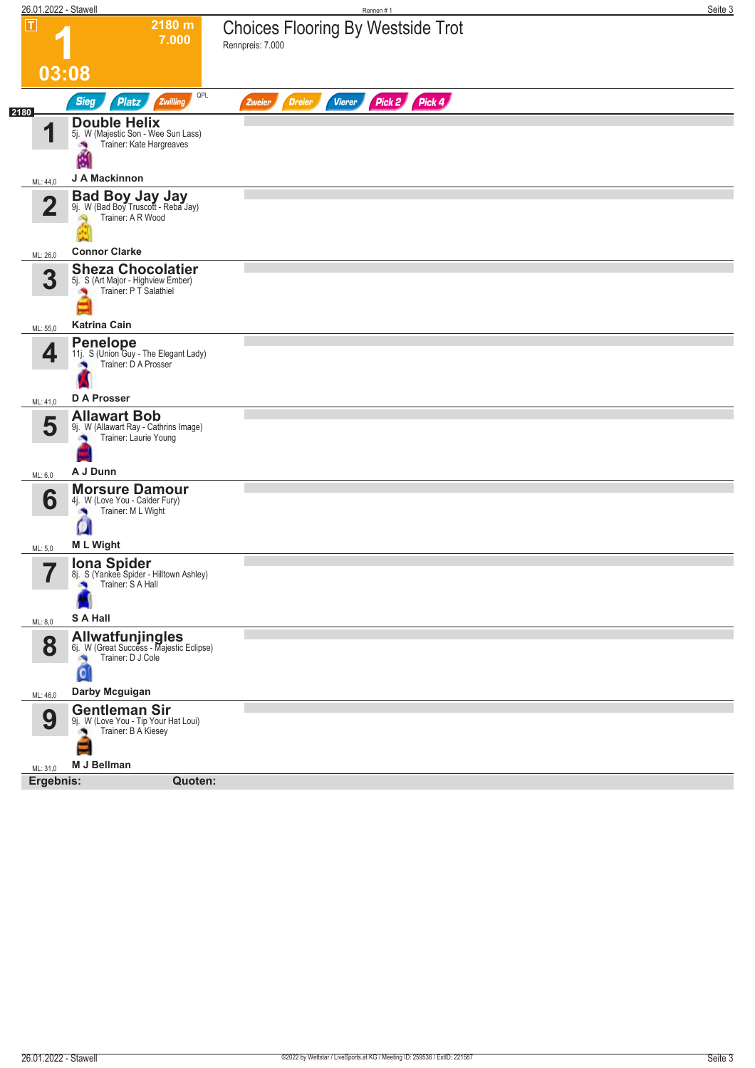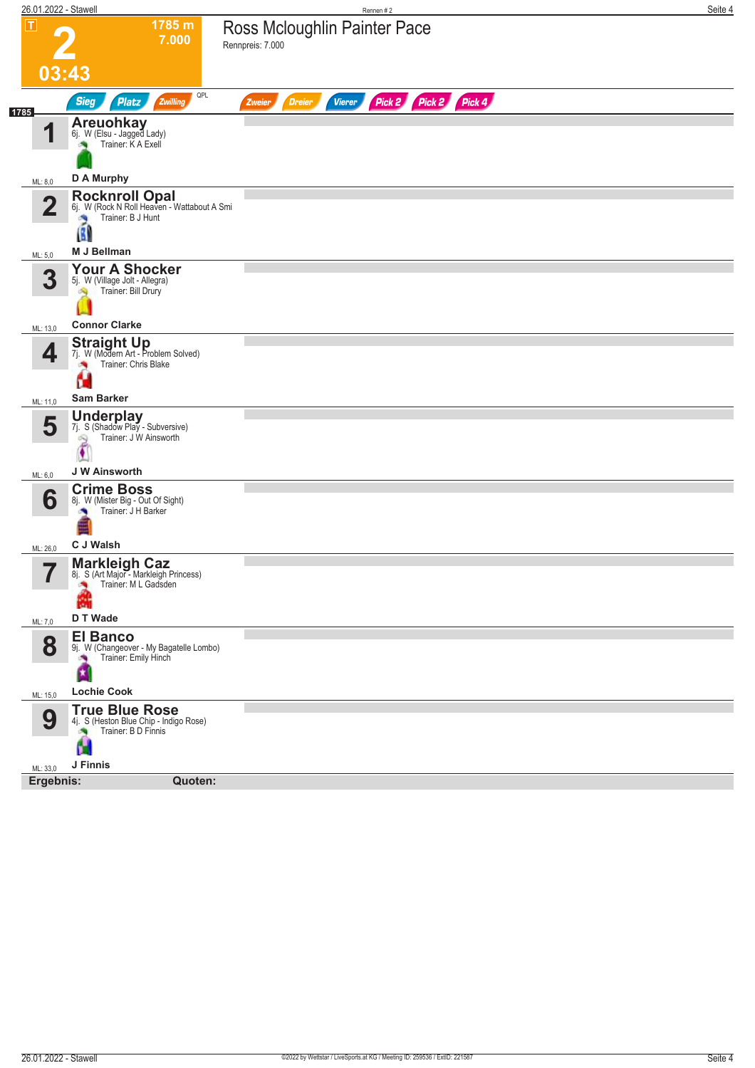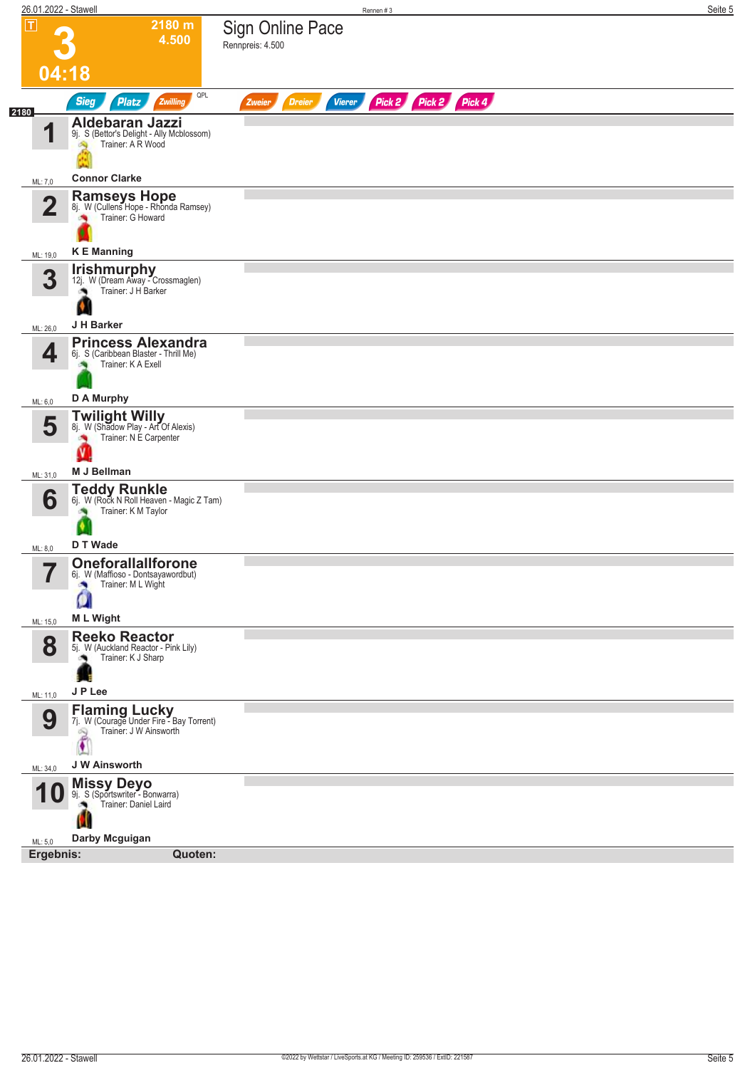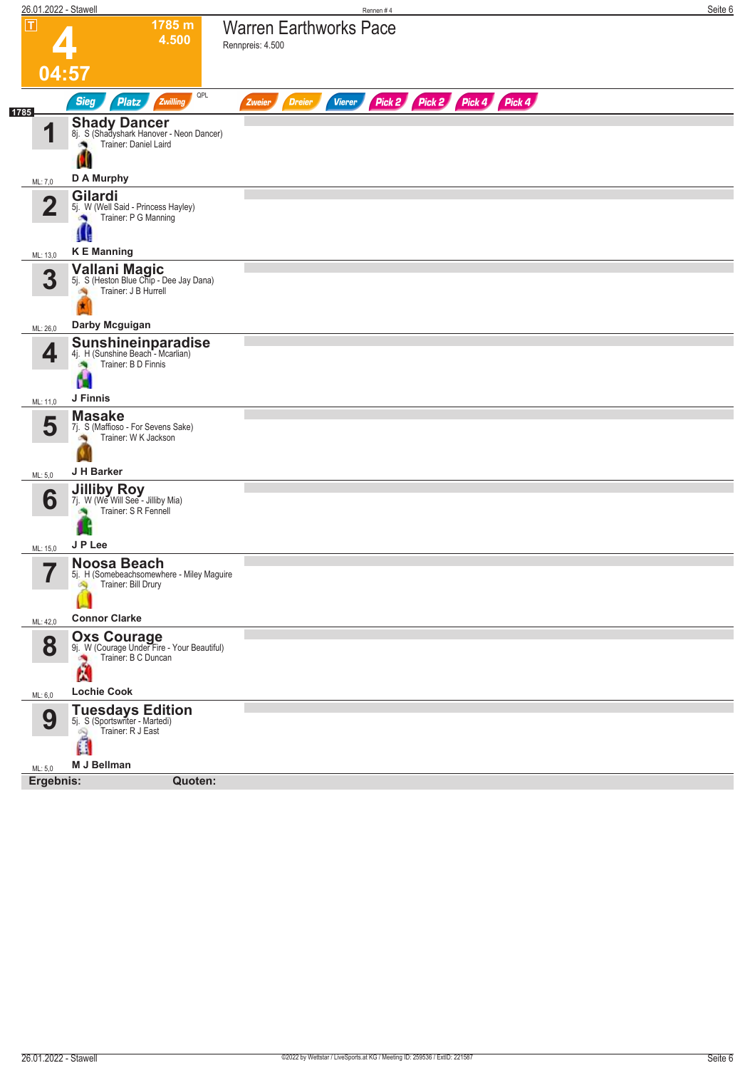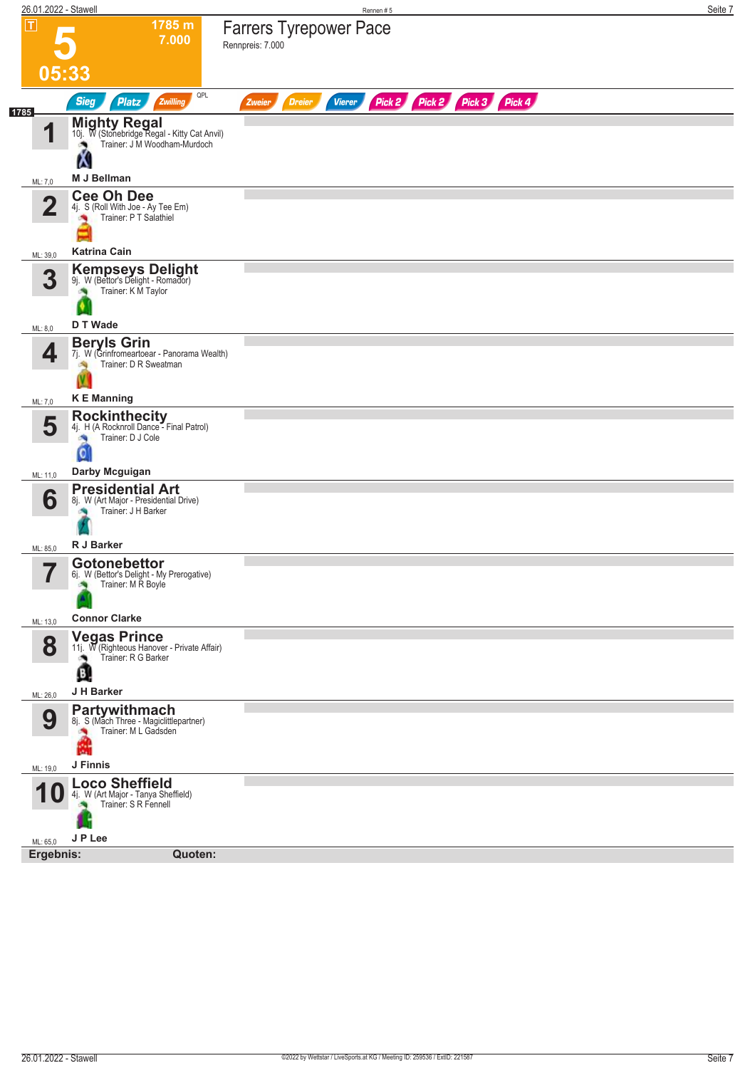|                |                                            | 26.01.2022 - Stawell                                                                                        | Rennen#5                                                                       | Seite 7 |
|----------------|--------------------------------------------|-------------------------------------------------------------------------------------------------------------|--------------------------------------------------------------------------------|---------|
| $ \mathsf{T} $ |                                            | 1785 m<br>7.000                                                                                             | <b>Farrers Tyrepower Pace</b><br>Rennpreis: 7.000                              |         |
|                | 05:33                                      |                                                                                                             |                                                                                |         |
| 1785           |                                            | QPL<br><b>Sieg</b><br><b>Platz</b><br>Zwilling                                                              | Pick 2 Pick 2 Pick 3 Pick 4<br><b>Dreier</b><br><b>Vierer</b><br><b>Zweier</b> |         |
|                | и                                          | <b>Mighty Regal</b><br>10j. W (Stonebridge Regal - Kitty Cat Anvil)<br>Trainer: J M Woodham-Murdoch<br>Ø,   |                                                                                |         |
|                | ML: 7,0                                    | W<br>M J Bellman                                                                                            |                                                                                |         |
|                | 2                                          | <b>Cee Oh Dee</b><br>4j. S (Roll With Joe - Ay Tee Em)<br>Trainer: P T Salathiel                            |                                                                                |         |
|                | ML: 39,0                                   | <b>Katrina Cain</b>                                                                                         |                                                                                |         |
|                | 3                                          | Kempseys Delight<br>9j. W (Bettor's Delight - Romador)<br>Trainer: K M Taylor<br>÷.                         |                                                                                |         |
|                | ML: 8,0                                    | D T Wade                                                                                                    |                                                                                |         |
|                | 4                                          | <b>Beryls Grin</b><br>7j. W (Grinfromeartoear - Panorama Wealth)<br>Trainer: D R Sweatman                   |                                                                                |         |
|                | ML: 7,0                                    | <b>KE</b> Manning                                                                                           |                                                                                |         |
|                | 5                                          | <b>Rockinthecity</b><br>4j. H (A Rocknroll Dance - Final Patrol)<br>Trainer: D J Cole<br>×<br>$\bullet$     |                                                                                |         |
|                | ML: 11,0                                   | Darby Mcguigan                                                                                              |                                                                                |         |
|                | 6                                          | <b>Presidential Art</b><br>8j. W (Art Major - Presidential Drive)<br>Trainer: J H Barker<br>R J Barker      |                                                                                |         |
|                | ML: 85,0                                   |                                                                                                             |                                                                                |         |
|                | $\overline{\phantom{a}}$<br>$\blacksquare$ | <b>Gotonebettor</b><br>6j. W (Bettor's Delight - My Prerogative)<br>Trainer: M R Boyle                      |                                                                                |         |
|                | ML: 13,0                                   | <b>Connor Clarke</b>                                                                                        |                                                                                |         |
|                | 8                                          | <b>Vegas Prince</b><br>11j. W (Righteous Hanover - Private Affair)<br>Trainer: R G Barker<br>$\bullet$<br>α |                                                                                |         |
|                | ML: 26,0                                   | J H Barker                                                                                                  |                                                                                |         |
|                | 9                                          | <b>Partywithmach</b><br>8j. S (Mach Three - Magiclittlepartner)<br>Trainer: M L Gadsden<br>J Finnis         |                                                                                |         |
|                | ML: 19,0                                   |                                                                                                             |                                                                                |         |
|                | ML: 65,0                                   | <b>Loco Sheffield</b><br>4j. W (Art Major - Tanya Sheffield)<br>Trainer: S R Fennell<br>J P Lee             |                                                                                |         |
|                | Ergebnis:                                  | Quoten:                                                                                                     |                                                                                |         |
|                |                                            |                                                                                                             |                                                                                |         |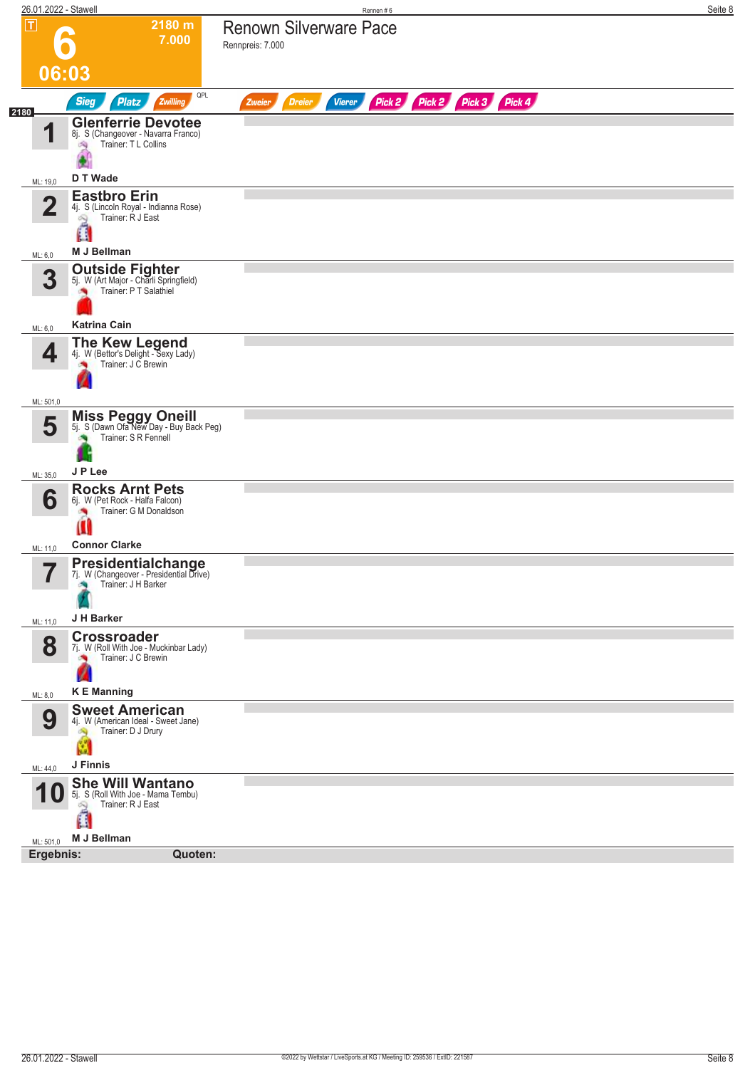